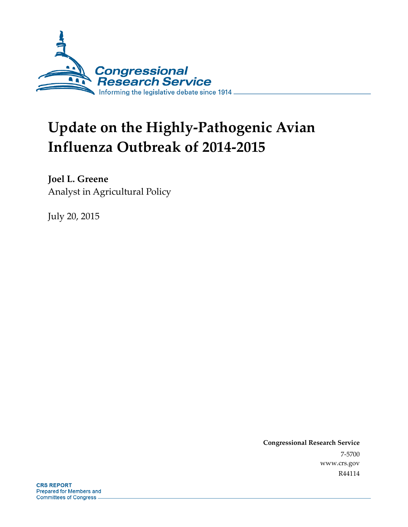

# **Update on the Highly-Pathogenic Avian Influenza Outbreak of 2014-2015**

**Joel L. Greene**  Analyst in Agricultural Policy

July 20, 2015

**Congressional Research Service**  7-5700 www.crs.gov R44114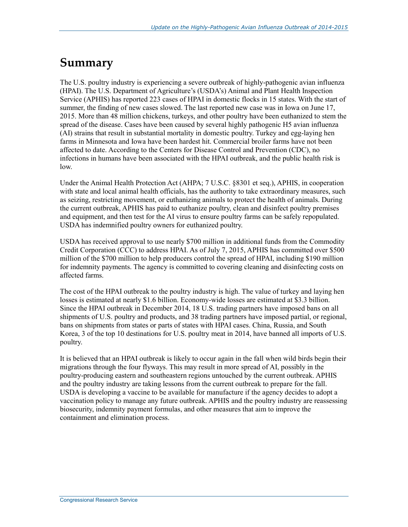### **Summary**

The U.S. poultry industry is experiencing a severe outbreak of highly-pathogenic avian influenza (HPAI). The U.S. Department of Agriculture's (USDA's) Animal and Plant Health Inspection Service (APHIS) has reported 223 cases of HPAI in domestic flocks in 15 states. With the start of summer, the finding of new cases slowed. The last reported new case was in Iowa on June 17, 2015. More than 48 million chickens, turkeys, and other poultry have been euthanized to stem the spread of the disease. Cases have been caused by several highly pathogenic H5 avian influenza (AI) strains that result in substantial mortality in domestic poultry. Turkey and egg-laying hen farms in Minnesota and Iowa have been hardest hit. Commercial broiler farms have not been affected to date. According to the Centers for Disease Control and Prevention (CDC), no infections in humans have been associated with the HPAI outbreak, and the public health risk is low.

Under the Animal Health Protection Act (AHPA; 7 U.S.C. §8301 et seq.), APHIS, in cooperation with state and local animal health officials, has the authority to take extraordinary measures, such as seizing, restricting movement, or euthanizing animals to protect the health of animals. During the current outbreak, APHIS has paid to euthanize poultry, clean and disinfect poultry premises and equipment, and then test for the AI virus to ensure poultry farms can be safely repopulated. USDA has indemnified poultry owners for euthanized poultry.

USDA has received approval to use nearly \$700 million in additional funds from the Commodity Credit Corporation (CCC) to address HPAI. As of July 7, 2015, APHIS has committed over \$500 million of the \$700 million to help producers control the spread of HPAI, including \$190 million for indemnity payments. The agency is committed to covering cleaning and disinfecting costs on affected farms.

The cost of the HPAI outbreak to the poultry industry is high. The value of turkey and laying hen losses is estimated at nearly \$1.6 billion. Economy-wide losses are estimated at \$3.3 billion. Since the HPAI outbreak in December 2014, 18 U.S. trading partners have imposed bans on all shipments of U.S. poultry and products, and 38 trading partners have imposed partial, or regional, bans on shipments from states or parts of states with HPAI cases. China, Russia, and South Korea, 3 of the top 10 destinations for U.S. poultry meat in 2014, have banned all imports of U.S. poultry.

It is believed that an HPAI outbreak is likely to occur again in the fall when wild birds begin their migrations through the four flyways. This may result in more spread of AI, possibly in the poultry-producing eastern and southeastern regions untouched by the current outbreak. APHIS and the poultry industry are taking lessons from the current outbreak to prepare for the fall. USDA is developing a vaccine to be available for manufacture if the agency decides to adopt a vaccination policy to manage any future outbreak. APHIS and the poultry industry are reassessing biosecurity, indemnity payment formulas, and other measures that aim to improve the containment and elimination process.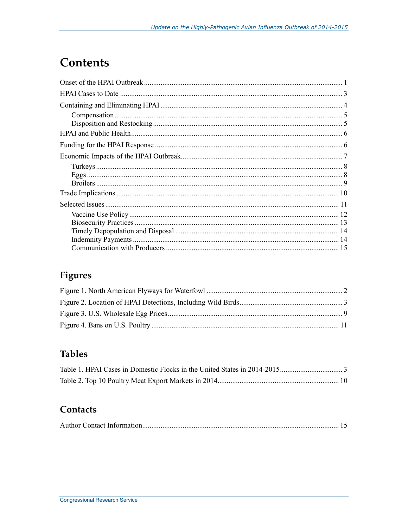# **Contents**

### **Figures**

### **Tables**

### Contacts

|--|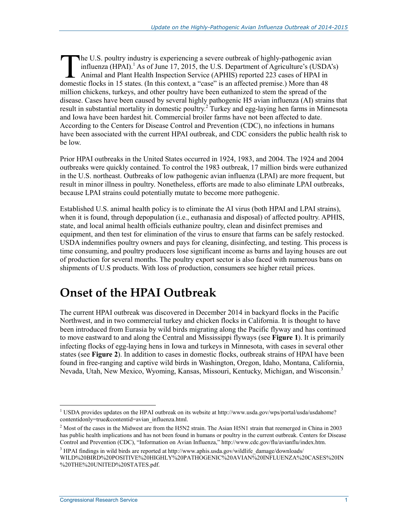he U.S. poultry industry is experiencing a severe outbreak of highly-pathogenic avian influenza  $(HPAI)$ .<sup>1</sup> As of June 17, 2015, the U.S. Department of Agriculture's (USDA's) Animal and Plant Health Inspection Service (APHIS) reported 223 cases of HPAI in The U.S. poultry industry is experiencing a severe outbreak of highly-pathogenic avian influenza (HPAI).<sup>1</sup> As of June 17, 2015, the U.S. Department of Agriculture's (USDA Animal and Plant Health Inspection Service (APHIS) million chickens, turkeys, and other poultry have been euthanized to stem the spread of the disease. Cases have been caused by several highly pathogenic H5 avian influenza (AI) strains that result in substantial mortality in domestic poultry.<sup>2</sup> Turkey and egg-laying hen farms in Minnesota and Iowa have been hardest hit. Commercial broiler farms have not been affected to date. According to the Centers for Disease Control and Prevention (CDC), no infections in humans have been associated with the current HPAI outbreak, and CDC considers the public health risk to be low.

Prior HPAI outbreaks in the United States occurred in 1924, 1983, and 2004. The 1924 and 2004 outbreaks were quickly contained. To control the 1983 outbreak, 17 million birds were euthanized in the U.S. northeast. Outbreaks of low pathogenic avian influenza (LPAI) are more frequent, but result in minor illness in poultry. Nonetheless, efforts are made to also eliminate LPAI outbreaks, because LPAI strains could potentially mutate to become more pathogenic.

Established U.S. animal health policy is to eliminate the AI virus (both HPAI and LPAI strains), when it is found, through depopulation (i.e., euthanasia and disposal) of affected poultry. APHIS, state, and local animal health officials euthanize poultry, clean and disinfect premises and equipment, and then test for elimination of the virus to ensure that farms can be safely restocked. USDA indemnifies poultry owners and pays for cleaning, disinfecting, and testing. This process is time consuming, and poultry producers lose significant income as barns and laying houses are out of production for several months. The poultry export sector is also faced with numerous bans on shipments of U.S products. With loss of production, consumers see higher retail prices.

### **Onset of the HPAI Outbreak**

The current HPAI outbreak was discovered in December 2014 in backyard flocks in the Pacific Northwest, and in two commercial turkey and chicken flocks in California. It is thought to have been introduced from Eurasia by wild birds migrating along the Pacific flyway and has continued to move eastward to and along the Central and Mississippi flyways (see **Figure 1**). It is primarily infecting flocks of egg-laying hens in Iowa and turkeys in Minnesota, with cases in several other states (see **Figure 2**). In addition to cases in domestic flocks, outbreak strains of HPAI have been found in free-ranging and captive wild birds in Washington, Oregon, Idaho, Montana, California, Nevada, Utah, New Mexico, Wyoming, Kansas, Missouri, Kentucky, Michigan, and Wisconsin.<sup>3</sup>

<sup>&</sup>lt;sup>1</sup> USDA provides updates on the HPAI outbreak on its website at http://www.usda.gov/wps/portal/usda/usdahome? contentidonly=true&contentid=avian\_influenza.html.

<sup>&</sup>lt;sup>2</sup> Most of the cases in the Midwest are from the H5N2 strain. The Asian H5N1 strain that reemerged in China in 2003 has public health implications and has not been found in humans or poultry in the current outbreak. Centers for Disease Control and Prevention (CDC), "Information on Avian Influenza," http://www.cdc.gov/flu/avianflu/index.htm.

<sup>&</sup>lt;sup>3</sup> HPAI findings in wild birds are reported at http://www.aphis.usda.gov/wildlife\_damage/downloads/ WILD%20BIRD%20POSITIVE%20HIGHLY%20PATHOGENIC%20AVIAN%20INFLUENZA%20CASES%20IN %20THE%20UNITED%20STATES.pdf.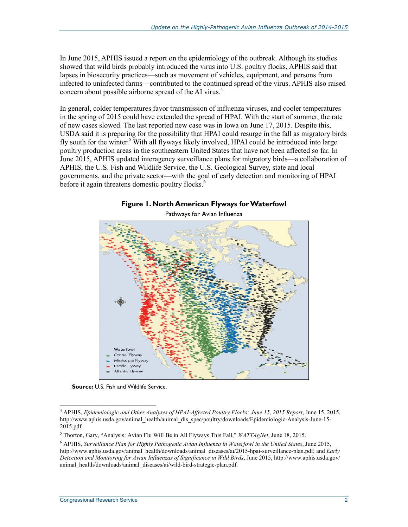In June 2015, APHIS issued a report on the epidemiology of the outbreak. Although its studies showed that wild birds probably introduced the virus into U.S. poultry flocks, APHIS said that lapses in biosecurity practices—such as movement of vehicles, equipment, and persons from infected to uninfected farms—contributed to the continued spread of the virus. APHIS also raised concern about possible airborne spread of the AI virus.<sup>4</sup>

In general, colder temperatures favor transmission of influenza viruses, and cooler temperatures in the spring of 2015 could have extended the spread of HPAI. With the start of summer, the rate of new cases slowed. The last reported new case was in Iowa on June 17, 2015. Despite this, USDA said it is preparing for the possibility that HPAI could resurge in the fall as migratory birds fly south for the winter.<sup>5</sup> With all flyways likely involved, HPAI could be introduced into large poultry production areas in the southeastern United States that have not been affected so far. In June 2015, APHIS updated interagency surveillance plans for migratory birds—a collaboration of APHIS, the U.S. Fish and Wildlife Service, the U.S. Geological Survey, state and local governments, and the private sector—with the goal of early detection and monitoring of HPAI before it again threatens domestic poultry flocks.<sup>6</sup>





Pathways for Avian Influenza

**Source:** U.S. Fish and Wildlife Service.

<sup>4</sup> APHIS, *Epidemiologic and Other Analyses of HPAI-Affected Poultry Flocks: June 15, 2015 Report*, June 15, 2015, http://www.aphis.usda.gov/animal\_health/animal\_dis\_spec/poultry/downloads/Epidemiologic-Analysis-June-15-  $2015.pdf$ .

<sup>5</sup> Thorton, Gary, "Analysis: Avian Flu Will Be in All Flyways This Fall," *WATTAgNet*, June 18, 2015.

<sup>6</sup> APHIS, *Surveillance Plan for Highly Pathogenic Avian Influenza in Waterfowl in the United States*, June 2015, http://www.aphis.usda.gov/animal\_health/downloads/animal\_diseases/ai/2015-hpai-surveillance-plan.pdf; and *Early Detection and Monitoring for Avian Influenzas of Significance in Wild Birds*, June 2015, http://www.aphis.usda.gov/ animal\_health/downloads/animal\_diseases/ai/wild-bird-strategic-plan.pdf.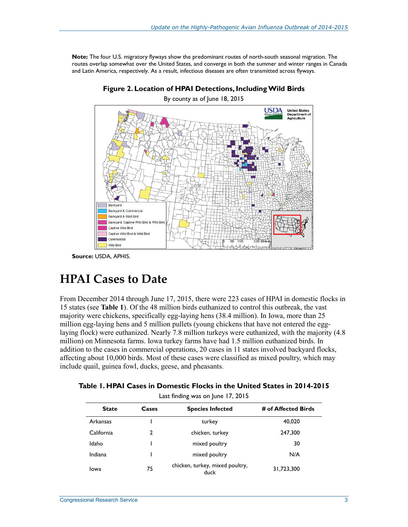**Note:** The four U.S. migratory flyways show the predominant routes of north-south seasonal migration. The routes overlap somewhat over the United States, and converge in both the summer and winter ranges in Canada and Latin America, respectively. As a result, infectious diseases are often transmitted across flyways.



**Figure 2. Location of HPAI Detections, Including Wild Birds**  By county as of June 18, 2015

**Source:** USDA, APHIS.

### **HPAI Cases to Date**

From December 2014 through June 17, 2015, there were 223 cases of HPAI in domestic flocks in 15 states (see **Table 1**). Of the 48 million birds euthanized to control this outbreak, the vast majority were chickens, specifically egg-laying hens (38.4 million). In Iowa, more than 25 million egg-laying hens and 5 million pullets (young chickens that have not entered the egglaying flock) were euthanized. Nearly 7.8 million turkeys were euthanized, with the majority (4.8 million) on Minnesota farms. Iowa turkey farms have had 1.5 million euthanized birds. In addition to the cases in commercial operations, 20 cases in 11 states involved backyard flocks, affecting about 10,000 birds. Most of these cases were classified as mixed poultry, which may include quail, guinea fowl, ducks, geese, and pheasants.

| Table 1. HPAI Cases in Domestic Flocks in the United States in 2014-2015 |
|--------------------------------------------------------------------------|
|--------------------------------------------------------------------------|

| Last finding was on June 17, 2015                                       |    |                                         |            |  |
|-------------------------------------------------------------------------|----|-----------------------------------------|------------|--|
| <b>State</b><br><b>Species Infected</b><br># of Affected Birds<br>Cases |    |                                         |            |  |
| Arkansas                                                                |    | turkey                                  | 40,020     |  |
| California                                                              | 2  | chicken, turkey                         | 247,300    |  |
| Idaho                                                                   |    | mixed poultry                           | 30         |  |
| Indiana                                                                 |    | mixed poultry                           | N/A        |  |
| Iowa                                                                    | 75 | chicken, turkey, mixed poultry,<br>duck | 31,723,300 |  |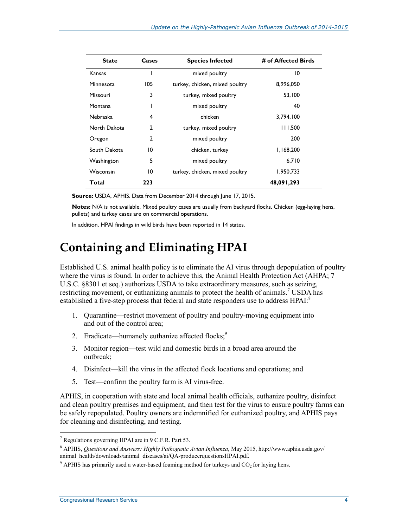| <b>State</b>    | Cases          | <b>Species Infected</b><br># of Affected Birds |            |
|-----------------|----------------|------------------------------------------------|------------|
| Kansas          |                | mixed poultry                                  | 10         |
| Minnesota       | 105            | turkey, chicken, mixed poultry                 | 8,996,050  |
| <b>Missouri</b> | 3              | turkey, mixed poultry                          | 53,100     |
| Montana         |                | mixed poultry                                  | 40         |
| <b>Nebraska</b> | 4              | chicken                                        | 3,794,100  |
| North Dakota    | 2              | turkey, mixed poultry                          | 111,500    |
| Oregon          | $\overline{2}$ | mixed poultry                                  | 200        |
| South Dakota    | 10             | chicken, turkey                                | 1,168,200  |
| Washington      | 5              | mixed poultry                                  | 6,710      |
| Wisconsin       | 10             | turkey, chicken, mixed poultry                 | 1,950,733  |
| Total           | 223            |                                                | 48,091,293 |

**Source:** USDA, APHIS. Data from December 2014 through June 17, 2015.

**Notes:** N/A is not available. Mixed poultry cases are usually from backyard flocks. Chicken (egg-laying hens, pullets) and turkey cases are on commercial operations.

In addition, HPAI findings in wild birds have been reported in 14 states.

### **Containing and Eliminating HPAI**

Established U.S. animal health policy is to eliminate the AI virus through depopulation of poultry where the virus is found. In order to achieve this, the Animal Health Protection Act (AHPA; 7) U.S.C. §8301 et seq.) authorizes USDA to take extraordinary measures, such as seizing, restricting movement, or euthanizing animals to protect the health of animals.<sup>7</sup> USDA has established a five-step process that federal and state responders use to address HPAI:<sup>8</sup>

- 1. Quarantine—restrict movement of poultry and poultry-moving equipment into and out of the control area;
- 2. Eradicate—humanely euthanize affected flocks;<sup>9</sup>
- 3. Monitor region—test wild and domestic birds in a broad area around the outbreak;
- 4. Disinfect—kill the virus in the affected flock locations and operations; and
- 5. Test—confirm the poultry farm is AI virus-free.

APHIS, in cooperation with state and local animal health officials, euthanize poultry, disinfect and clean poultry premises and equipment, and then test for the virus to ensure poultry farms can be safely repopulated. Poultry owners are indemnified for euthanized poultry, and APHIS pays for cleaning and disinfecting, and testing.

<sup>7</sup> Regulations governing HPAI are in 9 C.F.R. Part 53.

<sup>8</sup> APHIS, *Questions and Answers: Highly Pathogenic Avian Influenza*, May 2015, http://www.aphis.usda.gov/ animal\_health/downloads/animal\_diseases/ai/QA-producerquestionsHPAI.pdf.

 $9$  APHIS has primarily used a water-based foaming method for turkeys and  $CO<sub>2</sub>$  for laying hens.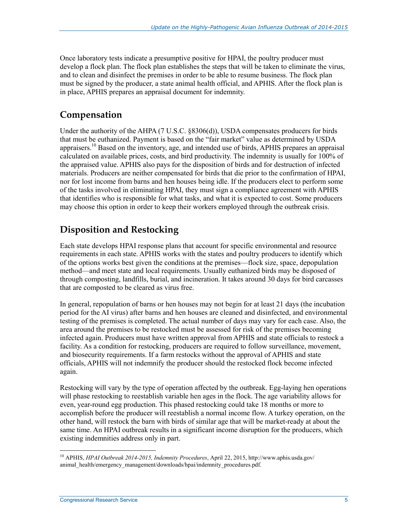Once laboratory tests indicate a presumptive positive for HPAI, the poultry producer must develop a flock plan. The flock plan establishes the steps that will be taken to eliminate the virus, and to clean and disinfect the premises in order to be able to resume business. The flock plan must be signed by the producer, a state animal health official, and APHIS. After the flock plan is in place, APHIS prepares an appraisal document for indemnity.

#### **Compensation**

Under the authority of the AHPA (7 U.S.C. §8306(d)), USDA compensates producers for birds that must be euthanized. Payment is based on the "fair market" value as determined by USDA appraisers.<sup>10</sup> Based on the inventory, age, and intended use of birds, APHIS prepares an appraisal calculated on available prices, costs, and bird productivity. The indemnity is usually for 100% of the appraised value. APHIS also pays for the disposition of birds and for destruction of infected materials. Producers are neither compensated for birds that die prior to the confirmation of HPAI, nor for lost income from barns and hen houses being idle. If the producers elect to perform some of the tasks involved in eliminating HPAI, they must sign a compliance agreement with APHIS that identifies who is responsible for what tasks, and what it is expected to cost. Some producers may choose this option in order to keep their workers employed through the outbreak crisis.

### **Disposition and Restocking**

Each state develops HPAI response plans that account for specific environmental and resource requirements in each state. APHIS works with the states and poultry producers to identify which of the options works best given the conditions at the premises—flock size, space, depopulation method—and meet state and local requirements. Usually euthanized birds may be disposed of through composting, landfills, burial, and incineration. It takes around 30 days for bird carcasses that are composted to be cleared as virus free.

In general, repopulation of barns or hen houses may not begin for at least 21 days (the incubation period for the AI virus) after barns and hen houses are cleaned and disinfected, and environmental testing of the premises is completed. The actual number of days may vary for each case. Also, the area around the premises to be restocked must be assessed for risk of the premises becoming infected again. Producers must have written approval from APHIS and state officials to restock a facility. As a condition for restocking, producers are required to follow surveillance, movement, and biosecurity requirements. If a farm restocks without the approval of APHIS and state officials, APHIS will not indemnify the producer should the restocked flock become infected again.

Restocking will vary by the type of operation affected by the outbreak. Egg-laying hen operations will phase restocking to reestablish variable hen ages in the flock. The age variability allows for even, year-round egg production. This phased restocking could take 18 months or more to accomplish before the producer will reestablish a normal income flow. A turkey operation, on the other hand, will restock the barn with birds of similar age that will be market-ready at about the same time. An HPAI outbreak results in a significant income disruption for the producers, which existing indemnities address only in part.

<sup>1</sup> 10 APHIS, *HPAI Outbreak 2014-2015, Indemnity Procedures*, April 22, 2015, http://www.aphis.usda.gov/ animal\_health/emergency\_management/downloads/hpai/indemnity\_procedures.pdf.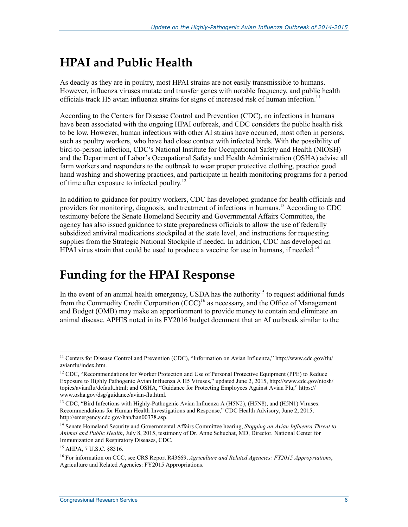# **HPAI and Public Health**

As deadly as they are in poultry, most HPAI strains are not easily transmissible to humans. However, influenza viruses mutate and transfer genes with notable frequency, and public health officials track H5 avian influenza strains for signs of increased risk of human infection.<sup>11</sup>

According to the Centers for Disease Control and Prevention (CDC), no infections in humans have been associated with the ongoing HPAI outbreak, and CDC considers the public health risk to be low. However, human infections with other AI strains have occurred, most often in persons, such as poultry workers, who have had close contact with infected birds. With the possibility of bird-to-person infection, CDC's National Institute for Occupational Safety and Health (NIOSH) and the Department of Labor's Occupational Safety and Health Administration (OSHA) advise all farm workers and responders to the outbreak to wear proper protective clothing, practice good hand washing and showering practices, and participate in health monitoring programs for a period of time after exposure to infected poultry.<sup>12</sup>

In addition to guidance for poultry workers, CDC has developed guidance for health officials and providers for monitoring, diagnosis, and treatment of infections in humans.<sup>13</sup> According to CDC testimony before the Senate Homeland Security and Governmental Affairs Committee, the agency has also issued guidance to state preparedness officials to allow the use of federally subsidized antiviral medications stockpiled at the state level, and instructions for requesting supplies from the Strategic National Stockpile if needed. In addition, CDC has developed an HPAI virus strain that could be used to produce a vaccine for use in humans, if needed.<sup>14</sup>

## **Funding for the HPAI Response**

In the event of an animal health emergency, USDA has the authority<sup>15</sup> to request additional funds from the Commodity Credit Corporation  $(CCC)^{16}$  as necessary, and the Office of Management and Budget (OMB) may make an apportionment to provide money to contain and eliminate an animal disease. APHIS noted in its FY2016 budget document that an AI outbreak similar to the

<sup>1</sup> <sup>11</sup> Centers for Disease Control and Prevention (CDC), "Information on Avian Influenza," http://www.cdc.gov/flu/ avianflu/index.htm.

<sup>&</sup>lt;sup>12</sup> CDC, "Recommendations for Worker Protection and Use of Personal Protective Equipment (PPE) to Reduce Exposure to Highly Pathogenic Avian Influenza A H5 Viruses," updated June 2, 2015, http://www.cdc.gov/niosh/ topics/avianflu/default.html; and OSHA, "Guidance for Protecting Employees Against Avian Flu," https:// www.osha.gov/dsg/guidance/avian-flu.html.

<sup>&</sup>lt;sup>13</sup> CDC, "Bird Infections with Highly-Pathogenic Avian Influenza A (H5N2), (H5N8), and (H5N1) Viruses: Recommendations for Human Health Investigations and Response," CDC Health Advisory, June 2, 2015, http://emergency.cdc.gov/han/han00378.asp.

<sup>14</sup> Senate Homeland Security and Governmental Affairs Committee hearing, *Stopping an Avian Influenza Threat to Animal and Public Health*, July 8, 2015, testimony of Dr. Anne Schuchat, MD, Director, National Center for Immunization and Respiratory Diseases, CDC.

<sup>15</sup> AHPA, 7 U.S.C. §8316.

<sup>16</sup> For information on CCC, see CRS Report R43669, *Agriculture and Related Agencies: FY2015 Appropriations*, Agriculture and Related Agencies: FY2015 Appropriations.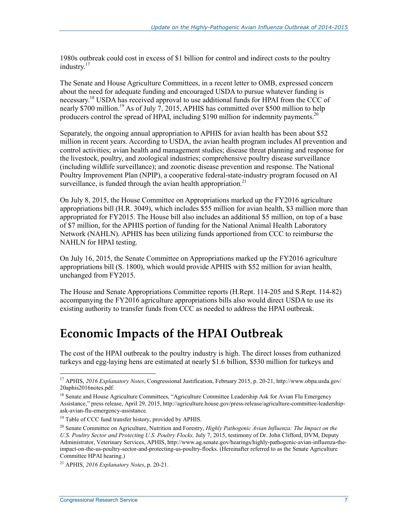1980s outbreak could cost in excess of \$1 billion for control and indirect costs to the poultry industry.<sup>17</sup>

The Senate and House Agriculture Committees, in a recent letter to OMB, expressed concern about the need for adequate funding and encouraged USDA to pursue whatever funding is necessary.<sup>18</sup> USDA has received approval to use additional funds for HPAI from the CCC of nearly  $\frac{$700}{$700}$  million.<sup>19</sup> As of July 7, 2015, APHIS has committed over \$500 million to help producers control the spread of HPAI, including \$190 million for indemnity payments.<sup>20</sup>

Separately, the ongoing annual appropriation to APHIS for avian health has been about \$52 million in recent years. According to USDA, the avian health program includes AI prevention and control activities; avian health and management studies; disease threat planning and response for the livestock, poultry, and zoological industries; comprehensive poultry disease surveillance (including wildlife surveillance); and zoonotic disease prevention and response. The National Poultry Improvement Plan (NPIP), a cooperative federal-state-industry program focused on AI surveillance, is funded through the avian health appropriation.<sup>21</sup>

On July 8, 2015, the House Committee on Appropriations marked up the FY2016 agriculture appropriations bill (H.R. 3049), which includes \$55 million for avian health, \$3 million more than appropriated for FY2015. The House bill also includes an additional \$5 million, on top of a base of \$7 million, for the APHIS portion of funding for the National Animal Health Laboratory Network (NAHLN). APHIS has been utilizing funds apportioned from CCC to reimburse the NAHLN for HPAI testing.

On July 16, 2015, the Senate Committee on Appropriations marked up the FY2016 agriculture appropriations bill (S. 1800), which would provide APHIS with \$52 million for avian health, unchanged from FY2015.

The House and Senate Appropriations Committee reports (H.Rept. 114-205 and S.Rept. 114-82) accompanying the FY2016 agriculture appropriations bills also would direct USDA to use its existing authority to transfer funds from CCC as needed to address the HPAI outbreak.

### **Economic Impacts of the HPAI Outbreak**

The cost of the HPAI outbreak to the poultry industry is high. The direct losses from euthanized turkeys and egg-laying hens are estimated at nearly \$1.6 billion, \$530 million for turkeys and

<sup>17</sup> APHIS, *2016 Explanatory Notes*, Congressional Justification, February 2015, p. 20-21, http://www.obpa.usda.gov/ 20aphis2016notes.pdf.

<sup>&</sup>lt;sup>18</sup> Senate and House Agriculture Committees, "Agriculture Committee Leadership Ask for Avian Flu Emergency Assistance," press release, April 29, 2015, http://agriculture.house.gov/press-release/agriculture-committee-leadershipask-avian-flu-emergency-assistance.

<sup>&</sup>lt;sup>19</sup> Table of CCC fund transfer history, provided by APHIS.

<sup>&</sup>lt;sup>20</sup> Senate Committee on Agriculture, Nutrition and Forestry, *Highly Pathogenic Avian Influenza: The Impact on the U.S. Poultry Sector and Protecting U.S. Poultry Flocks,* July 7, 2015, testimony of Dr. John Clifford, DVM, Deputy Administrator, Veterinary Services, APHIS, http://www.ag.senate.gov/hearings/highly-pathogenic-avian-influenza-theimpact-on-the-us-poultry-sector-and-protecting-us-poultry-flocks. (Hereinafter referred to as the Senate Agriculture Committee HPAI hearing.)

<sup>21</sup> APHIS, *2016 Explanatory Notes*, p. 20-21.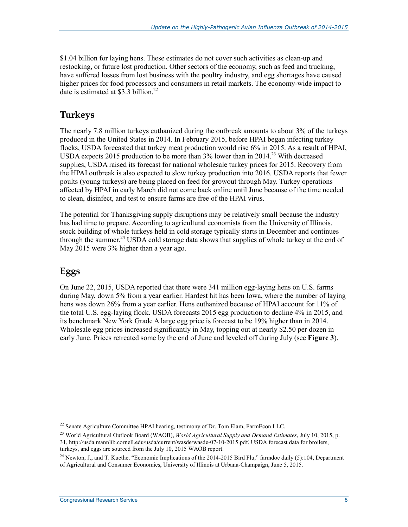\$1.04 billion for laying hens. These estimates do not cover such activities as clean-up and restocking, or future lost production. Other sectors of the economy, such as feed and trucking, have suffered losses from lost business with the poultry industry, and egg shortages have caused higher prices for food processors and consumers in retail markets. The economy-wide impact to date is estimated at  $$3.\overline{3}$  billion.<sup>22</sup>

#### **Turkeys**

The nearly 7.8 million turkeys euthanized during the outbreak amounts to about 3% of the turkeys produced in the United States in 2014. In February 2015, before HPAI began infecting turkey flocks, USDA forecasted that turkey meat production would rise 6% in 2015. As a result of HPAI, USDA expects 2015 production to be more than  $3\%$  lower than in 2014.<sup>23</sup> With decreased supplies, USDA raised its forecast for national wholesale turkey prices for 2015. Recovery from the HPAI outbreak is also expected to slow turkey production into 2016. USDA reports that fewer poults (young turkeys) are being placed on feed for growout through May. Turkey operations affected by HPAI in early March did not come back online until June because of the time needed to clean, disinfect, and test to ensure farms are free of the HPAI virus.

The potential for Thanksgiving supply disruptions may be relatively small because the industry has had time to prepare. According to agricultural economists from the University of Illinois, stock building of whole turkeys held in cold storage typically starts in December and continues through the summer.<sup>24</sup> USDA cold storage data shows that supplies of whole turkey at the end of May 2015 were 3% higher than a year ago.

### **Eggs**

1

On June 22, 2015, USDA reported that there were 341 million egg-laying hens on U.S. farms during May, down 5% from a year earlier. Hardest hit has been Iowa, where the number of laying hens was down 26% from a year earlier. Hens euthanized because of HPAI account for 11% of the total U.S. egg-laying flock. USDA forecasts 2015 egg production to decline 4% in 2015, and its benchmark New York Grade A large egg price is forecast to be 19% higher than in 2014. Wholesale egg prices increased significantly in May, topping out at nearly \$2.50 per dozen in early June. Prices retreated some by the end of June and leveled off during July (see **Figure 3**).

 $22$  Senate Agriculture Committee HPAI hearing, testimony of Dr. Tom Elam, FarmEcon LLC.

<sup>23</sup> World Agricultural Outlook Board (WAOB), *World Agricultural Supply and Demand Estimates*, July 10, 2015, p. 31, http://usda.mannlib.cornell.edu/usda/current/wasde/wasde-07-10-2015.pdf. USDA forecast data for broilers,

turkeys, and eggs are sourced from the July 10, 2015 WAOB report.

<sup>&</sup>lt;sup>24</sup> Newton, J., and T. Kuethe, "Economic Implications of the 2014-2015 Bird Flu," farmdoc daily (5):104. Department of Agricultural and Consumer Economics, University of Illinois at Urbana-Champaign, June 5, 2015.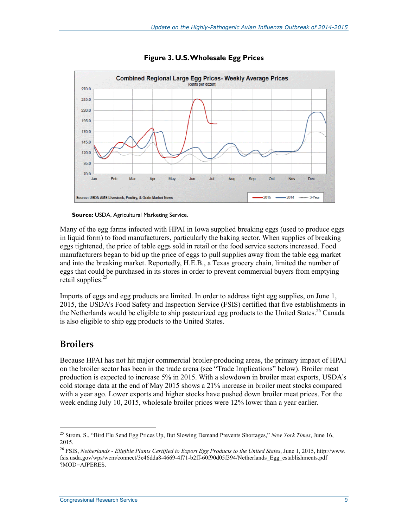

**Figure 3. U.S. Wholesale Egg Prices** 



Many of the egg farms infected with HPAI in Iowa supplied breaking eggs (used to produce eggs in liquid form) to food manufacturers, particularly the baking sector. When supplies of breaking eggs tightened, the price of table eggs sold in retail or the food service sectors increased. Food manufacturers began to bid up the price of eggs to pull supplies away from the table egg market and into the breaking market. Reportedly, H.E.B., a Texas grocery chain, limited the number of eggs that could be purchased in its stores in order to prevent commercial buyers from emptying retail supplies.<sup>25</sup>

Imports of eggs and egg products are limited. In order to address tight egg supplies, on June 1, 2015, the USDA's Food Safety and Inspection Service (FSIS) certified that five establishments in the Netherlands would be eligible to ship pasteurized egg products to the United States.<sup>26</sup> Canada is also eligible to ship egg products to the United States.

#### **Broilers**

Because HPAI has not hit major commercial broiler-producing areas, the primary impact of HPAI on the broiler sector has been in the trade arena (see "Trade Implications" below). Broiler meat production is expected to increase 5% in 2015. With a slowdown in broiler meat exports, USDA's cold storage data at the end of May 2015 shows a 21% increase in broiler meat stocks compared with a year ago. Lower exports and higher stocks have pushed down broiler meat prices. For the week ending July 10, 2015, wholesale broiler prices were 12% lower than a year earlier.

<sup>1</sup> 25 Strom, S., "Bird Flu Send Egg Prices Up, But Slowing Demand Prevents Shortages," *New York Times*, June 16, 2015.

<sup>26</sup> FSIS, *Netherlands - Eligible Plants Certified to Export Egg Products to the United States*, June 1, 2015, http://www. fsis.usda.gov/wps/wcm/connect/3e46dda8-4669-4f71-b2ff-60f90d05f394/Netherlands\_Egg\_establishments.pdf ?MOD=AJPERES.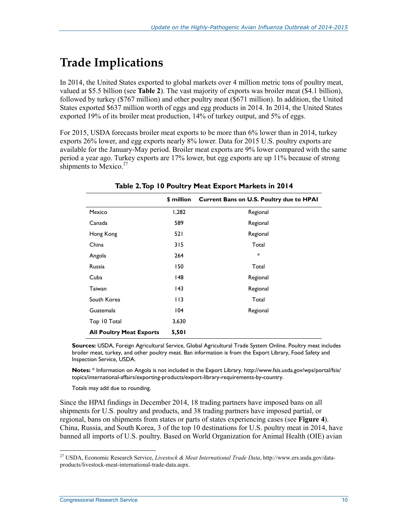# **Trade Implications**

In 2014, the United States exported to global markets over 4 million metric tons of poultry meat, valued at \$5.5 billion (see **Table 2**). The vast majority of exports was broiler meat (\$4.1 billion), followed by turkey (\$767 million) and other poultry meat (\$671 million). In addition, the United States exported \$637 million worth of eggs and egg products in 2014. In 2014, the United States exported 19% of its broiler meat production, 14% of turkey output, and 5% of eggs.

For 2015, USDA forecasts broiler meat exports to be more than 6% lower than in 2014, turkey exports 26% lower, and egg exports nearly 8% lower. Data for 2015 U.S. poultry exports are available for the January-May period. Broiler meat exports are 9% lower compared with the same period a year ago. Turkey exports are 17% lower, but egg exports are up 11% because of strong shipments to Mexico.<sup>27</sup>

|                                 | \$ million | Current Bans on U.S. Poultry due to HPAI |
|---------------------------------|------------|------------------------------------------|
| Mexico                          | 1,282      | Regional                                 |
| Canada                          | 589        | Regional                                 |
| Hong Kong                       | 521        | Regional                                 |
| China                           | 315        | Total                                    |
| Angola                          | 264        | *                                        |
| Russia                          | 150        | Total                                    |
| Cuba                            | 148        | Regional                                 |
| Taiwan                          | 143        | Regional                                 |
| South Korea                     | 113        | Total                                    |
| Guatemala                       | 104        | Regional                                 |
| Top 10 Total                    | 3,630      |                                          |
| <b>All Poultry Meat Exports</b> | 5,501      |                                          |

**Table 2. Top 10 Poultry Meat Export Markets in 2014** 

**Sources:** USDA, Foreign Agricultural Service, Global Agricultural Trade System Online. Poultry meat includes broiler meat, turkey, and other poultry meat. Ban information is from the Export Library, Food Safety and Inspection Service, USDA.

**Notes:** \* Information on Angola is not included in the Export Library. http://www.fsis.usda.gov/wps/portal/fsis/ topics/international-affairs/exporting-products/export-library-requirements-by-country.

Totals may add due to rounding.

Since the HPAI findings in December 2014, 18 trading partners have imposed bans on all shipments for U.S. poultry and products, and 38 trading partners have imposed partial, or regional, bans on shipments from states or parts of states experiencing cases (see **Figure 4**). China, Russia, and South Korea, 3 of the top 10 destinations for U.S. poultry meat in 2014, have banned all imports of U.S. poultry. Based on World Organization for Animal Health (OIE) avian

<sup>27</sup> USDA, Economic Research Service, *Livestock & Meat International Trade Data*, http://www.ers.usda.gov/dataproducts/livestock-meat-international-trade-data.aspx.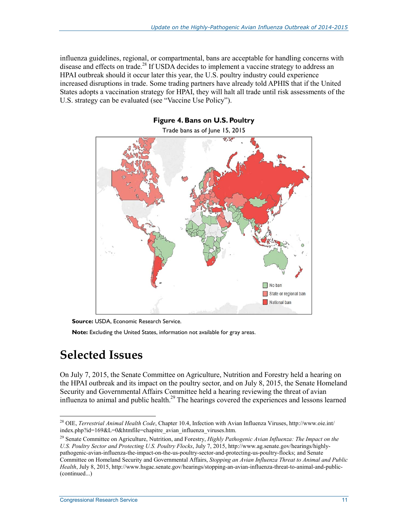influenza guidelines, regional, or compartmental, bans are acceptable for handling concerns with disease and effects on trade.<sup>28</sup> If USDA decides to implement a vaccine strategy to address an HPAI outbreak should it occur later this year, the U.S. poultry industry could experience increased disruptions in trade. Some trading partners have already told APHIS that if the United States adopts a vaccination strategy for HPAI, they will halt all trade until risk assessments of the U.S. strategy can be evaluated (see "Vaccine Use Policy").



**Figure 4. Bans on U.S. Poultry** 

**Source:** USDA, Economic Research Service.

**Note:** Excluding the United States, information not available for gray areas.

### **Selected Issues**

1

On July 7, 2015, the Senate Committee on Agriculture, Nutrition and Forestry held a hearing on the HPAI outbreak and its impact on the poultry sector, and on July 8, 2015, the Senate Homeland Security and Governmental Affairs Committee held a hearing reviewing the threat of avian influenza to animal and public health.<sup>29</sup> The hearings covered the experiences and lessons learned

<sup>28</sup> OIE, *Terrestrial Animal Health Code*, Chapter 10.4, Infection with Avian Influenza Viruses, http://www.oie.int/ index.php?id=169&L=0&htmfile=chapitre\_avian\_influenza\_viruses.htm.

<sup>29</sup> Senate Committee on Agriculture, Nutrition, and Forestry, *Highly Pathogenic Avian Influenza: The Impact on the U.S. Poultry Sector and Protecting U.S. Poultry Flocks*, July 7, 2015, http://www.ag.senate.gov/hearings/highlypathogenic-avian-influenza-the-impact-on-the-us-poultry-sector-and-protecting-us-poultry-flocks; and Senate Committee on Homeland Security and Governmental Affairs, *Stopping an Avian Influenza Threat to Animal and Public Health*, July 8, 2015, http://www.hsgac.senate.gov/hearings/stopping-an-avian-influenza-threat-to-animal-and-public- (continued...)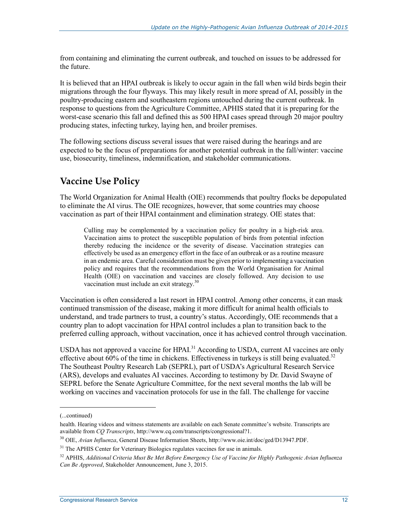from containing and eliminating the current outbreak, and touched on issues to be addressed for the future.

It is believed that an HPAI outbreak is likely to occur again in the fall when wild birds begin their migrations through the four flyways. This may likely result in more spread of AI, possibly in the poultry-producing eastern and southeastern regions untouched during the current outbreak. In response to questions from the Agriculture Committee, APHIS stated that it is preparing for the worst-case scenario this fall and defined this as 500 HPAI cases spread through 20 major poultry producing states, infecting turkey, laying hen, and broiler premises.

The following sections discuss several issues that were raised during the hearings and are expected to be the focus of preparations for another potential outbreak in the fall/winter: vaccine use, biosecurity, timeliness, indemnification, and stakeholder communications.

#### **Vaccine Use Policy**

The World Organization for Animal Health (OIE) recommends that poultry flocks be depopulated to eliminate the AI virus. The OIE recognizes, however, that some countries may choose vaccination as part of their HPAI containment and elimination strategy. OIE states that:

Culling may be complemented by a vaccination policy for poultry in a high-risk area. Vaccination aims to protect the susceptible population of birds from potential infection thereby reducing the incidence or the severity of disease. Vaccination strategies can effectively be used as an emergency effort in the face of an outbreak or as a routine measure in an endemic area. Careful consideration must be given prior to implementing a vaccination policy and requires that the recommendations from the World Organisation for Animal Health (OIE) on vaccination and vaccines are closely followed. Any decision to use vaccination must include an exit strategy.<sup>30</sup>

Vaccination is often considered a last resort in HPAI control. Among other concerns, it can mask continued transmission of the disease, making it more difficult for animal health officials to understand, and trade partners to trust, a country's status. Accordingly, OIE recommends that a country plan to adopt vaccination for HPAI control includes a plan to transition back to the preferred culling approach, without vaccination, once it has achieved control through vaccination.

USDA has not approved a vaccine for HPAI.<sup>31</sup> According to USDA, current AI vaccines are only effective about  $60\%$  of the time in chickens. Effectiveness in turkeys is still being evaluated.<sup>32</sup> The Southeast Poultry Research Lab (SEPRL), part of USDA's Agricultural Research Service (ARS), develops and evaluates AI vaccines. According to testimony by Dr. David Swayne of SEPRL before the Senate Agriculture Committee, for the next several months the lab will be working on vaccines and vaccination protocols for use in the fall. The challenge for vaccine

<sup>(...</sup>continued)

health. Hearing videos and witness statements are available on each Senate committee's website. Transcripts are available from *CQ Transcripts*, http://www.cq.com/transcripts/congressional?1.

<sup>30</sup> OIE, *Avian Influenza*, General Disease Information Sheets, http://www.oie.int/doc/ged/D13947.PDF.

<sup>&</sup>lt;sup>31</sup> The APHIS Center for Veterinary Biologics regulates vaccines for use in animals.

<sup>32</sup> APHIS, *Additional Criteria Must Be Met Before Emergency Use of Vaccine for Highly Pathogenic Avian Influenza Can Be Approved*, Stakeholder Announcement, June 3, 2015.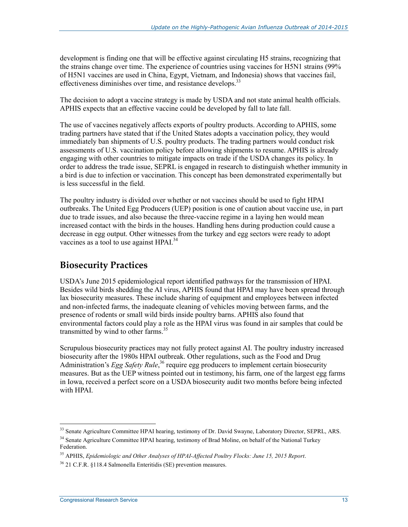development is finding one that will be effective against circulating H5 strains, recognizing that the strains change over time. The experience of countries using vaccines for H5N1 strains (99% of H5N1 vaccines are used in China, Egypt, Vietnam, and Indonesia) shows that vaccines fail, effectiveness diminishes over time, and resistance develops.<sup>33</sup>

The decision to adopt a vaccine strategy is made by USDA and not state animal health officials. APHIS expects that an effective vaccine could be developed by fall to late fall.

The use of vaccines negatively affects exports of poultry products. According to APHIS, some trading partners have stated that if the United States adopts a vaccination policy, they would immediately ban shipments of U.S. poultry products. The trading partners would conduct risk assessments of U.S. vaccination policy before allowing shipments to resume. APHIS is already engaging with other countries to mitigate impacts on trade if the USDA changes its policy. In order to address the trade issue, SEPRL is engaged in research to distinguish whether immunity in a bird is due to infection or vaccination. This concept has been demonstrated experimentally but is less successful in the field.

The poultry industry is divided over whether or not vaccines should be used to fight HPAI outbreaks. The United Egg Producers (UEP) position is one of caution about vaccine use, in part due to trade issues, and also because the three-vaccine regime in a laying hen would mean increased contact with the birds in the houses. Handling hens during production could cause a decrease in egg output. Other witnesses from the turkey and egg sectors were ready to adopt vaccines as a tool to use against HPAI.<sup>34</sup>

#### **Biosecurity Practices**

USDA's June 2015 epidemiological report identified pathways for the transmission of HPAI. Besides wild birds shedding the AI virus, APHIS found that HPAI may have been spread through lax biosecurity measures. These include sharing of equipment and employees between infected and non-infected farms, the inadequate cleaning of vehicles moving between farms, and the presence of rodents or small wild birds inside poultry barns. APHIS also found that environmental factors could play a role as the HPAI virus was found in air samples that could be transmitted by wind to other farms.<sup>35</sup>

Scrupulous biosecurity practices may not fully protect against AI. The poultry industry increased biosecurity after the 1980s HPAI outbreak. Other regulations, such as the Food and Drug Administration's *Egg Safety Rule*,<sup>36</sup> require egg producers to implement certain biosecurity measures. But as the UEP witness pointed out in testimony, his farm, one of the largest egg farms in Iowa, received a perfect score on a USDA biosecurity audit two months before being infected with HPAI.

<sup>&</sup>lt;sup>33</sup> Senate Agriculture Committee HPAI hearing, testimony of Dr. David Swayne, Laboratory Director, SEPRL, ARS. <sup>34</sup> Senate Agriculture Committee HPAI hearing, testimony of Brad Moline, on behalf of the National Turkey

Federation.

<sup>35</sup> APHIS, *Epidemiologic and Other Analyses of HPAI-Affected Poultry Flocks: June 15, 2015 Report*.

<sup>36 21</sup> C.F.R. §118.4 Salmonella Enteritidis (SE) prevention measures.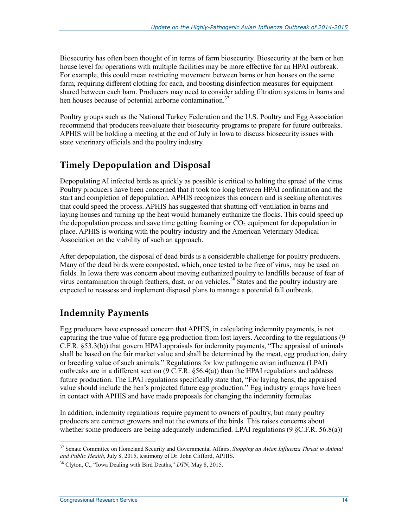Biosecurity has often been thought of in terms of farm biosecurity. Biosecurity at the barn or hen house level for operations with multiple facilities may be more effective for an HPAI outbreak. For example, this could mean restricting movement between barns or hen houses on the same farm, requiring different clothing for each, and boosting disinfection measures for equipment shared between each barn. Producers may need to consider adding filtration systems in barns and hen houses because of potential airborne contamination.<sup>37</sup>

Poultry groups such as the National Turkey Federation and the U.S. Poultry and Egg Association recommend that producers reevaluate their biosecurity programs to prepare for future outbreaks. APHIS will be holding a meeting at the end of July in Iowa to discuss biosecurity issues with state veterinary officials and the poultry industry.

### **Timely Depopulation and Disposal**

Depopulating AI infected birds as quickly as possible is critical to halting the spread of the virus. Poultry producers have been concerned that it took too long between HPAI confirmation and the start and completion of depopulation. APHIS recognizes this concern and is seeking alternatives that could speed the process. APHIS has suggested that shutting off ventilation in barns and laying houses and turning up the heat would humanely euthanize the flocks. This could speed up the depopulation process and save time getting foaming or  $CO<sub>2</sub>$  equipment for depopulation in place. APHIS is working with the poultry industry and the American Veterinary Medical Association on the viability of such an approach.

After depopulation, the disposal of dead birds is a considerable challenge for poultry producers. Many of the dead birds were composted, which, once tested to be free of virus, may be used on fields. In Iowa there was concern about moving euthanized poultry to landfills because of fear of virus contamination through feathers, dust, or on vehicles.<sup>38</sup> States and the poultry industry are expected to reassess and implement disposal plans to manage a potential fall outbreak.

### **Indemnity Payments**

Egg producers have expressed concern that APHIS, in calculating indemnity payments, is not capturing the true value of future egg production from lost layers. According to the regulations (9 C.F.R. §53.3(b)) that govern HPAI appraisals for indemnity payments, "The appraisal of animals shall be based on the fair market value and shall be determined by the meat, egg production, dairy or breeding value of such animals." Regulations for low pathogenic avian influenza (LPAI) outbreaks are in a different section (9 C.F.R. §56.4(a)) than the HPAI regulations and address future production. The LPAI regulations specifically state that, "For laying hens, the appraised value should include the hen's projected future egg production." Egg industry groups have been in contact with APHIS and have made proposals for changing the indemnity formulas.

In addition, indemnity regulations require payment to owners of poultry, but many poultry producers are contract growers and not the owners of the birds. This raises concerns about whether some producers are being adequately indemnified. LPAI regulations  $(9 \text{ }\mathcal{S} \text{C.F.R. } 56.8(a))$ 

<sup>37</sup> Senate Committee on Homeland Security and Governmental Affairs, *Stopping an Avian Influenza Threat to Animal and Public Health*, July 8, 2015, testimony of Dr. John Clifford, APHIS.

<sup>38</sup> Clyton, C., "Iowa Dealing with Bird Deaths," *DTN*, May 8, 2015.